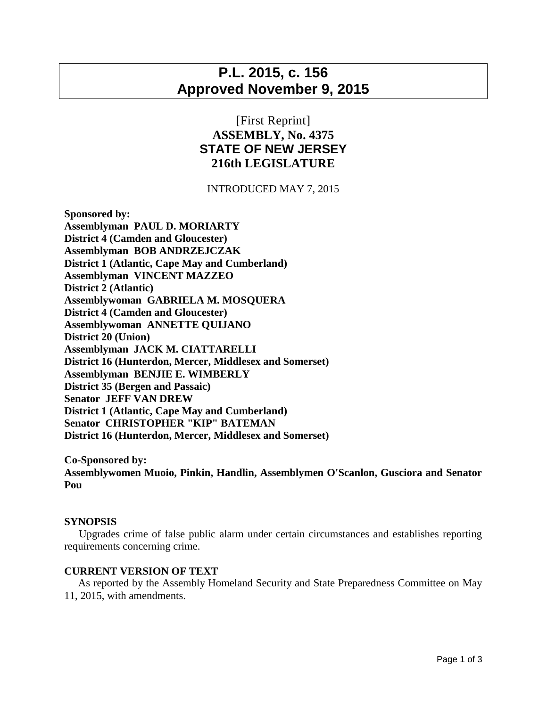# **P.L. 2015, c. 156 Approved November 9, 2015**

# [First Reprint] **ASSEMBLY, No. 4375 STATE OF NEW JERSEY 216th LEGISLATURE**

### INTRODUCED MAY 7, 2015

**Sponsored by: Assemblyman PAUL D. MORIARTY District 4 (Camden and Gloucester) Assemblyman BOB ANDRZEJCZAK District 1 (Atlantic, Cape May and Cumberland) Assemblyman VINCENT MAZZEO District 2 (Atlantic) Assemblywoman GABRIELA M. MOSQUERA District 4 (Camden and Gloucester) Assemblywoman ANNETTE QUIJANO District 20 (Union) Assemblyman JACK M. CIATTARELLI District 16 (Hunterdon, Mercer, Middlesex and Somerset) Assemblyman BENJIE E. WIMBERLY District 35 (Bergen and Passaic) Senator JEFF VAN DREW District 1 (Atlantic, Cape May and Cumberland) Senator CHRISTOPHER "KIP" BATEMAN District 16 (Hunterdon, Mercer, Middlesex and Somerset)**

**Co-Sponsored by: Assemblywomen Muoio, Pinkin, Handlin, Assemblymen O'Scanlon, Gusciora and Senator Pou**

#### **SYNOPSIS**

 Upgrades crime of false public alarm under certain circumstances and establishes reporting requirements concerning crime.

#### **CURRENT VERSION OF TEXT**

 As reported by the Assembly Homeland Security and State Preparedness Committee on May 11, 2015, with amendments.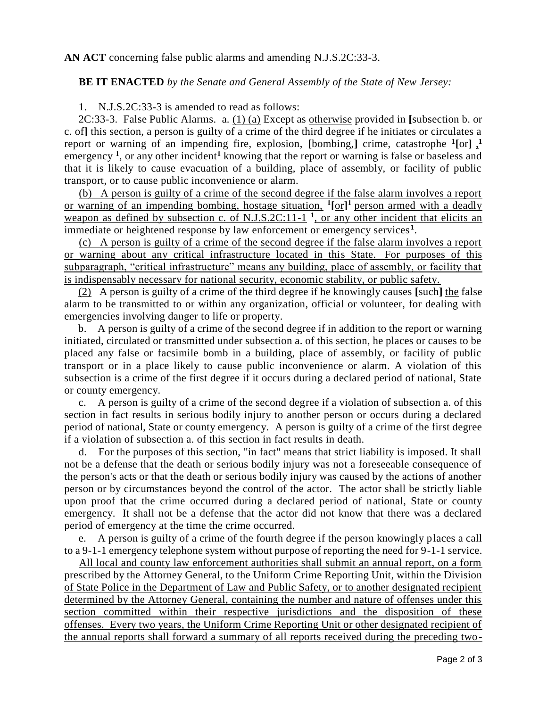**AN ACT** concerning false public alarms and amending N.J.S.2C:33-3.

## **BE IT ENACTED** *by the Senate and General Assembly of the State of New Jersey:*

1. N.J.S.2C:33-3 is amended to read as follows:

 2C:33-3. False Public Alarms. a. (1) (a) Except as otherwise provided in **[**subsection b. or c. of**]** this section, a person is guilty of a crime of the third degree if he initiates or circulates a report or warning of an impending fire, explosion, **[**bombing,**]** crime, catastrophe **<sup>1</sup> [**or**]** , **1** emergency <sup>1</sup>, or any other incident<sup>1</sup> knowing that the report or warning is false or baseless and that it is likely to cause evacuation of a building, place of assembly, or facility of public transport, or to cause public inconvenience or alarm.

 (b) A person is guilty of a crime of the second degree if the false alarm involves a report or warning of an impending bombing, hostage situation, **<sup>1</sup> [**or**] <sup>1</sup>**person armed with a deadly weapon as defined by subsection c. of N.J.S.2C:11-1<sup>1</sup>, or any other incident that elicits an immediate or heightened response by law enforcement or emergency services **<sup>1</sup>** .

 (c) A person is guilty of a crime of the second degree if the false alarm involves a report or warning about any critical infrastructure located in this State. For purposes of this subparagraph, "critical infrastructure" means any building, place of assembly, or facility that is indispensably necessary for national security, economic stability, or public safety.

 (2) A person is guilty of a crime of the third degree if he knowingly causes **[**such**]** the false alarm to be transmitted to or within any organization, official or volunteer, for dealing with emergencies involving danger to life or property.

 b. A person is guilty of a crime of the second degree if in addition to the report or warning initiated, circulated or transmitted under subsection a. of this section, he places or causes to be placed any false or facsimile bomb in a building, place of assembly, or facility of public transport or in a place likely to cause public inconvenience or alarm. A violation of this subsection is a crime of the first degree if it occurs during a declared period of national, State or county emergency.

 c. A person is guilty of a crime of the second degree if a violation of subsection a. of this section in fact results in serious bodily injury to another person or occurs during a declared period of national, State or county emergency. A person is guilty of a crime of the first degree if a violation of subsection a. of this section in fact results in death.

 d. For the purposes of this section, "in fact" means that strict liability is imposed. It shall not be a defense that the death or serious bodily injury was not a foreseeable consequence of the person's acts or that the death or serious bodily injury was caused by the actions of another person or by circumstances beyond the control of the actor. The actor shall be strictly liable upon proof that the crime occurred during a declared period of national, State or county emergency. It shall not be a defense that the actor did not know that there was a declared period of emergency at the time the crime occurred.

 e. A person is guilty of a crime of the fourth degree if the person knowingly places a call to a 9-1-1 emergency telephone system without purpose of reporting the need for 9-1-1 service.

 All local and county law enforcement authorities shall submit an annual report, on a form prescribed by the Attorney General, to the Uniform Crime Reporting Unit, within the Division of State Police in the Department of Law and Public Safety, or to another designated recipient determined by the Attorney General, containing the number and nature of offenses under this section committed within their respective jurisdictions and the disposition of these offenses. Every two years, the Uniform Crime Reporting Unit or other designated recipient of the annual reports shall forward a summary of all reports received during the preceding two